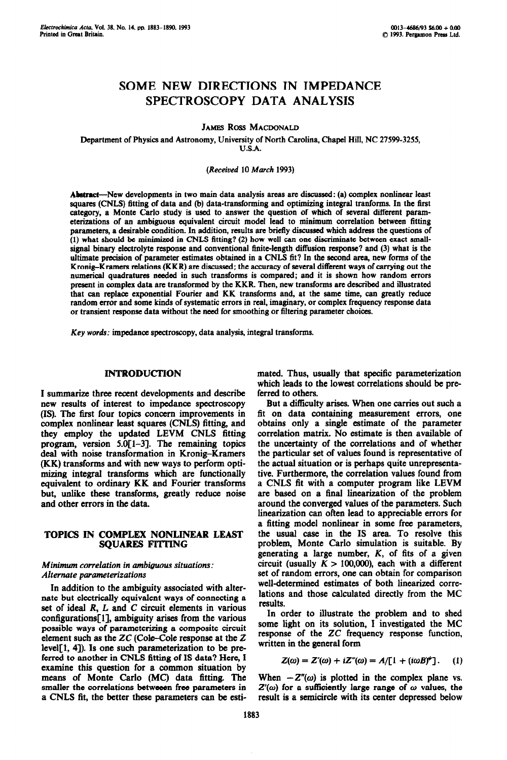# **SOME NEW DIRECTIONS IN IMPEDANCE SPECTROSCOPY DATA ANALYSIS**

**JAMES ROSS MACDONALD** 

**Department of Physics and Astronomy, University of North Carolina, Chapel Hill, NC 27599-3255, U.S.A.** 

## *(Received* **10 March 1993)**

Abstract—New developments in two main data analysis areas are discussed: (a) complex nonlinear least **squares (CNLS) fitting of data and (b) data-transforming and optimizing integral tranforms. In the first category, a Monte Carlo study is used to answer the question of which of several ditferent parameterizations of an ambiguous equivalent circuit model lead to minimum correlation between fitting parameters, a desirable condition. In addition, results are brietly discussed which address the questions of (1) what should be minimixed in CNLS fitting? (2) how well can one discriminate between exact small**signal binary electrolyte response and conventional finite-length diffusion response? and (3) what is the **ultimate precision of parameter estimates obtained in a CNLS fit? In the second area, new forms of the Kronig-Kramers relations (KKR) are discussed; the accuracy of several different ways of carrying out the numerical quadraturcs needed in such transforms is compared; and it is shown how random errors present in complex data are transformed by the KKR. Then, new transforms are described and illustrated that can replace exponential Fourier and KK transforms and, at the same time, can greatly reduce random error and some hinds of systematic errors** in real, imaginary, or complex frequency **response data or transient response data without the need for smoothing or littering parameter choices.** 

*Key words:* impedance **spectroscopy, data analysis, integral transforms.** 

# INTRODUCTION

I summarize three recent developments and describe new results of interest to impedance spectroscopy (IS). The 6rst four topics concern improvements in complex nonlinear least squares (CNLS) fitting, and they employ the updated LEVM CNLS fitting program, version 5.0[1-31. The remaining topics deal with noise transformation in Kronig-Kramers (KK) transforms and with new ways to perform optimixing integral transforms which are functionally equivalent to ordinary KK and Fourier transforms but, unlike these transforms, greatly reduce noise and other errors in the data.

## TOPICS IN COMPLEX NONLINEAR LEAST SQUARES FITTING

## *Minimum correlation in ambiguous situations: Alternate parameterizations*

In addition to the ambiguity associated with alternate but electricalIy equivalent ways of connecting a set of ideal *R, L* and C circuit elements in various  $configurations[1]$ , ambiguity arises from the various possible ways of parameterixing a composite circuit element such as the ZC (Cole-Cole response at the Z  $level[1, 4]$ ). Is one such parameterization to be preferred to another in CNLS fitting of IS data? Here, I examine this question for a common situation by means of Monte Carlo (MC) data fitting. The smaller the correlations betweeen free parameters in a CNLS fit, the better these parameters can be estimated. Thus, usually that specific parameterixation which leads to the lowest correlations should be preferred to others.

But a difficulty arises. When one carries out such a fit on data containing measurement errors, one obtains only a single estimate of the parameter correlation matrix. No estimate is then available of the uncertainty of the correlations and of whether the particular set of values found is representative of the actual situation or is perhaps quite unrepresentative. Furthermore, the correlation values found from a CNLS fit with a computer program like LEVM are based on a final linearization of the problem around the converged values of the parameters. Such linearization can often lead to appreciable errors for a fitting model nonlinear in some free parameters, the usual case in the IS area. To resolve this problem, Monte Carlo simulation is suitable. By generating a large number, *K,* of fits of a given circuit (usually  $K > 100,000$ ), each with a different set of random errors, one can obtain for comparison well-determined estimates of both linearized correlations and those calculated directly from the MC results.

In order to illustrate the problem and to shed some light on its solution, I investigated the MC response of the ZC frequency response function, written in the general form

$$
Z(\omega) = Z'(\omega) + iZ''(\omega) = A/[1 + (i\omega B)^*]. \qquad (1)
$$

When  $-Z''(\omega)$  is plotted in the complex plane vs.  $Z'(\omega)$  for a sufficiently large range of  $\omega$  values, the result is a semicircle with its center depressed below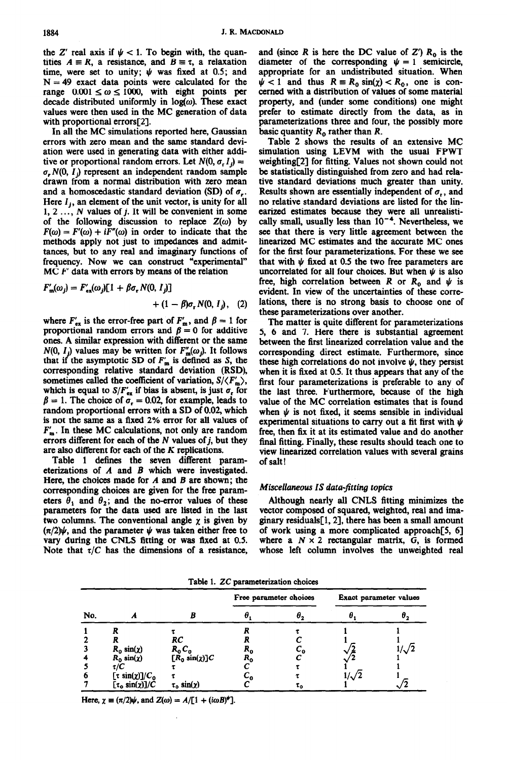the Z' real axis if  $\psi$  < 1. To begin with, the quantities  $A \equiv R$ , a resistance, and  $B \equiv \tau$ , a relaxation time, were set to unity;  $\psi$  was fixed at 0.5; and  $N = 49$  exact data points were calculated for the range  $0.001 \le \omega \le 1000$ , with eight points per decade distributed uniformly in  $log(\omega)$ . These exact values were then used in the MC generation of data with proportional errors[2].

In all the MC simulations reported here, Gaussian errors with zero mean and the same standard deviation were used in generating data with either additive or proportional random errors. Let  $N(0, \sigma, I)$  =  $\sigma$ , N(0, 1) represent an independent random sample drawn from a normal distribution with zero mean and a homoscedastic standard deviation (SD) of  $\sigma_r$ . Here  $I_i$ , an element of the unit vector, is unity for all  $1, 2, \ldots, N$  values of  $j$ . It will be convenient in some of the following discussion to replace  $Z(\omega)$  by  $F(\omega) = F'(\omega) + iF''(\omega)$  in order to indicate that the methods apply not just to impedances and admittances, but to any real and imaginary functions of frequency. Now we can construct "experimental"  $MC F'$  data with errors by means of the relation

$$
F'_{\mathfrak{m}}(\omega_j) = F'_{\mathfrak{ex}}(\omega_j)[1 + \beta \sigma_r N(0, I_j)]
$$
  
+  $(1 - \beta)\sigma_r N(0, I_j)$ , (2)

where  $F'_{ex}$  is the error-free part of  $F'_{m}$ , and  $\beta = 1$  for proportional random errors and  $\beta = 0$  for additive ones. A similar expression with different or the same  $N(0, I_j)$  values may be written for  $F''_{m}(\omega_j)$ . It follows that if the asymptotic SD of  $F'_m$  is defined as S, the corresponding relative standard deviation (RSD), sometimes called the coefficient of variation,  $S/\langle F_{\rm m}'\rangle$ , which is equal to  $S/F'_{ex}$  if bias is absent, is just  $\sigma_r$  for  $\beta = 1$ . The choice of  $\sigma_r = 0.02$ , for example, leads to random proportional errors with a SD of 0.02, which is not the same as a fixed 2% error for all values of  $F'_{m}$ . In these MC calculations, not only are random errors different for each of the  $N$  values of  $j$ , but they are also different for each of the K replications.

Table 1 detines the seven different parameterixations of *A* and B which were investigated. Here, the choices made for  $A$  and  $B$  are shown; the corresponding choices are given for the free parameters  $\theta_1$  and  $\theta_2$ ; and the no-error values of these parameters for the data used are listed in the last two columns. The conventional angle  $\chi$  is given by  $(\pi/2)\psi$ , and the parameter  $\psi$  was taken either free to vary during the CNLS fitting or was fixed at 0.5. Note that  $\tau/C$  has the dimensions of a resistance,

and (since *R* is here the DC value of  $Z'$ )  $R_0$  is the diameter of the corresponding  $\psi = 1$  semicircle, appropriate for an undistributed situation. When  $\psi$  < 1 and thus  $R = R_0 \sin(\chi) < R_0$ , one is concerned with a distribution of values of some material property, and (under some conditions) one might prefer to estimate directly from the data, as in parameterizations three and four, the possibly more basic quantity *R,* rather than *R.* 

Table 2 shows the results of an extensive MC simulation using LEVM with the usual FPWT weighting[2] for fitting. Values not shown could not be statistically distinguished from zero and had relative standard deviations much greater than unity. Results shown are essentially independent of  $\sigma_r$ , and no relative standard deviations are listed for the linearized estimates because they were all unrealistically small, usually less than  $10^{-4}$ . Nevertheless, we see that there is very little agreement between the linearized MC estimates and the accurate MC ones for the first four parameterixations. For these we see that with  $\psi$  fixed at 0.5 the two free parameters are uncorrelated for all four choices. But when  $\psi$  is also free, high correlation between *R* or  $R_0$  and  $\psi$  is **evident. In view of the uncertainties of these correlations, there is no strong basis to choose one of these parameterixations over another.** 

**The matter is quite different for parameterixations 5, 6 and 7. Here there is substantial agreement between the first linearized correlation value and the corresponding direct estimate. Furthermore, since**  these high correlations do not involve  $\psi$ , they persist **when it is fixed at 0.5. It thus appears that any of the**  first four parameterizations is preferable to any of **the last three. Furthermore, because of the high value of the MC correlation estimates that is found**  when  $\psi$  is not fixed, it seems sensible in individual experimental situations to carry out a fit first with  $\psi$ **free, then fix it at its estimated value and do another final fitting. Finally, these results should teach one to view linearized correlation values with several grains of salt** !

#### Miscellaneous IS data-fitting topics

Although nearly all **CNLS fitting minimizes the vector composed of squared, weighted, real and imaginary residuals[l, 21, there has been a small amount**  of work using a more complicated approach<sup>[5,6]</sup> where a  $N \times 2$  rectangular matrix, G, is formed **whose left column involves the unweighted real** 

| No. | n                               |                             | Free parameter choices |    | Exact parameter values |        |
|-----|---------------------------------|-----------------------------|------------------------|----|------------------------|--------|
|     |                                 |                             |                        | θ, |                        |        |
|     |                                 |                             |                        |    |                        |        |
|     |                                 | RC                          |                        |    |                        |        |
|     | $R_0 \sin(\chi)$                | $R_0C_0$                    | Λ0                     | ັັ |                        | 7. / م |
|     | $R_0 \sin(\chi)$                | $[\tilde{R}_0 \sin(\chi)]C$ | R <sub>o</sub>         |    |                        |        |
|     | t/C                             |                             |                        |    |                        |        |
| 6   | $[\tau \sin(\chi)]/C_0$         |                             |                        |    | $1/\surd 2$            |        |
|     | $[\tau_0 \sin(\chi)]/\tilde{C}$ | $\tau_0 \sin(\chi)$         |                        | τρ |                        |        |

**Table 1. ZC narameterixation choices** 

Here,  $\chi \equiv (\pi/2)\psi$ , and  $Z(\omega) = A/[1 + (i\omega B)^{\psi}]$ .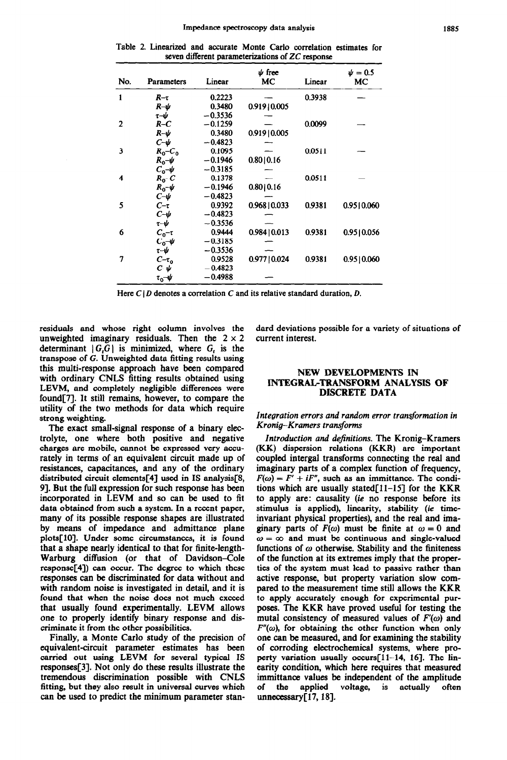Table 2. Linearized and accurate Monte Carlo correlation estimates for seven different parameterixations of ZC response

| No.          | <b>Parameters</b>             | Linear    | $\psi$ free<br>МC | Linear | $\psi = 0.5$<br>МC |
|--------------|-------------------------------|-----------|-------------------|--------|--------------------|
| $\mathbf{1}$ | $R-\tau$                      | 0.2223    |                   | 0.3938 |                    |
|              | $R-\psi$                      | 0.3480    | 0.919 0.005       |        |                    |
|              | τ-ψ                           | $-0.3536$ |                   |        |                    |
| $\mathbf{2}$ | $R-C$                         | $-0.1259$ |                   | 0.0099 |                    |
|              | $R-\psi$                      | 0.3480    | 0.919 0.005       |        |                    |
|              | $c$ -v                        | $-0.4823$ |                   |        |                    |
| 3            | $R_0 - C_0$                   | 0.1095    |                   | 0.0511 |                    |
|              | $R_0-\psi$                    | $-0.1946$ | 0.80   0.16       |        |                    |
|              | $c_{\text{o}}\rightarrow\psi$ | $-0.3185$ |                   |        |                    |
| 4            | $R_0$ -C                      | 0.1378    |                   | 0.0511 |                    |
|              | $R_0-\psi$                    | $-0.1946$ | 0.80   0.16       |        |                    |
|              | $C-\psi$                      | $-0.4823$ |                   |        |                    |
| 5            | $C-\tau$                      | 0.9392    | $0.968$   0.033   | 0.9381 | 0.9510.060         |
|              | $C\neg\psi$                   | $-0.4823$ |                   |        |                    |
|              | $\tau\neg\psi$                | $-0.3536$ |                   |        |                    |
| 6            | $C_0$ - $\tau$                | 0.9444    | 0.984   0.013     | 0.9381 | 0.9510.056         |
|              | $C_0 \rightarrow \psi$        | $-0.3185$ |                   |        |                    |
|              | $\tau\neg\psi$                | $-0.3536$ |                   |        |                    |
| 7            | $C-\tau_0$                    | 0.9528    | 0.977   0.024     | 0.9381 | 0.95 0.060         |
|              | $c$ -v                        | $-0.4823$ |                   |        |                    |
|              | $\tau_0$ - $\psi$             | $-0.4988$ |                   |        |                    |

Here  $C/D$  denotes a correlation C and its relative standard duration, D.

residuals and whose right column involves the unweighted imaginary residuals. Then the  $2 \times 2$ determinant  $|G, G|$  is minimized, where  $G<sub>t</sub>$  is the transpose of G. Unweighted data fitting results using this multi-response approach have been compared with ordinary CNLS fitting results obtained using LEVM, and completely negligible differences were found[7]. It still remains, however, to compare the utility of the two methods for data which require strong weighting.

The exact small-signal response of a binary electrolyte, one where both positive and negative charges are mobile, cannot be expressed very accurately in terms of an equivalent circuit made up of resistances, capacitances, and any of the ordinary distributed circuit elements[4] used in IS analysis[8, 91. But the full expression for such response has been incorporated in LEVM and so can be used to fit data obtained from such a system. In a recent paper, many of its possible response shapes are illustrated by means of impedance and admittance plane plots[lO]. Under some circumstances, it is found that a shape nearly identical to that for finite-length-Warburg diffusion (or that of Davidson-Cole response[4]) can occur. The degree to which these responses can be discriminated for data without and with random noise is investigated in detail, and it is found that when the noise does not much exceed that usually found experimentally. LEVM allows one to properly identify binary response and discriminate it from the other possibilities.

Finally, a Monte Carlo study of the precision of equivalent-circuit parameter estimates has been carried out using LEVM for several typical IS responses[3]. Not only do these results illustrate the tremendous discrimination possible with CNLS fitting, but they also result in universal curves which can be used to predict the minimum parameter standard deviations possible for a variety of situations of current interest.

## NEW DEVELOPMENTS IN INTEGRAL-TRANSFORM ANALYSIS OF DISCRETE DATA

## *Integration errors and random* **error** *transformation in Kronig-Kramers transforms*

*Introduction and definitions. The* Kronig-Kramers (KK) dispersion relations (KKR) are important coupled intergal transforms connecting the real and imaginary parts of a complex function of frequency,  $F(\omega) = F' + iF''$ , such as an immittance. The conditions which are usually stated $[11-15]$  for the KKR to apply are: causality (ie no response before its stimulus is applied), linearity, stability *(ie* timeinvariant physical properties), and the real and imaginary parts of  $F(\omega)$  must be finite at  $\omega = 0$  and  $\omega = \infty$  and must be continuous and single-valued functions of  $\omega$  otherwise. Stability and the finiteness of the function at its extremes imply that the properties of the system must lead to passive rather than active response, but property variation slow compared to the measurement time still allows the KKR to apply accurately enough for experimental purposes. The KKR have proved useful for testing the mutal consistency of measured values of  $F'(\omega)$  and  $F''(\omega)$ , for obtaining the other function when only one can be measured, and for examining the stability of corroding electrochemical systems, where property variation usually occurs<sup>[11-14, 16]</sup>. The linearity condition, which here requires that measured immittance values be independent of the amplitude of the applied voltage, is actually often unnecessary[17, 18].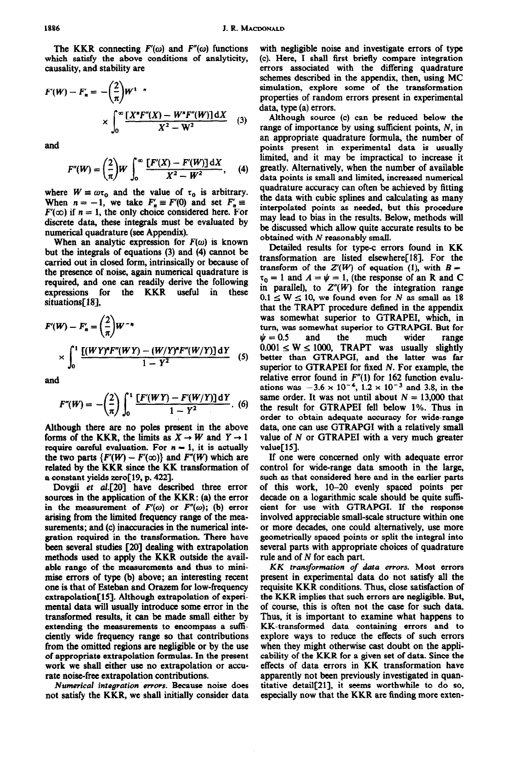The KKR connecting  $F'(\omega)$  and  $F''(\omega)$  functions which satisfy the above conditions of analyticity, causality, and stability are

$$
F'(W) - F'_n = -\left(\frac{2}{\pi}\right)W^{1-n}
$$

$$
\times \int_0^\infty \frac{[X^n F''(X) - W^n F''(W)] \,dX}{X^2 - W^2} \qquad (3)
$$

and

$$
F''(W) = \left(\frac{2}{\pi}\right)W \int_0^\infty \frac{[F'(X) - F'(W)] \, \mathrm{d}X}{X^2 - W^2}, \qquad (4)
$$

where  $W \equiv \omega \tau_0$  and the value of  $\tau_0$  is arbitrary. When  $n = -1$ , we take  $F'_n \equiv F'(0)$  and set  $F'_n \equiv$  $F'(\infty)$  if  $n = 1$ , the only choice considered here. For discrete data, these integrals must be evaluated by numerical quadrature (see Appendix).

When an analytic expression for  $F(\omega)$  is known but the integrals of equations (3) and (4) cannot be carried out in closed form, intrinsically or because of the presence of noise, again numerical quadrature is required, and one can readily derive the following expressions for the KKR useful in these situations[18],

$$
F'(W) - F'_n = \left(\frac{2}{\pi}\right) W^{-n}
$$
  
 
$$
\times \int_0^1 \frac{\left[ (WY)^n F''(WY) - (W/Y)^n F''(W/Y) \right] dY}{1 - Y^2} \quad (5)
$$

$$
F''(W) = -\left(\frac{2}{\pi}\right) \int_0^1 \frac{[F'(WY) - F'(W/Y)] dY}{1 - Y^2} .
$$
 (6)

Although there are no poles present in the above forms of the KKR, the limits as  $X \to W$  and  $Y \to 1$ require careful evaluation. For  $n = 1$ , it is actually the two parts  $\{F'(W) - F'(\infty)\}$  and  $F''(W)$  which are related by the KKR since the KK transformation of a constant yields zero[19, p. 422].

Dovgii *et* aI.[20] have described three error sources in the application of the KKR: (a) the error in the measurement of  $F'(\omega)$  or  $F''(\omega)$ ; (b) error arising from the limited frequency range of the measurements; and (c) inaccuracies in the numerical integration required in the transformation. There have been several studies [ZO] dealing with extrapolation methods used to apply the KKR outside the available range of the measurements and thus to minimise errors of type (b) above; an interesting recent one is that of Esteban and Orazem for low-frequency extrapolation[15]. Although extrapolation of experimental data will usually introduce some error in the transformed results, it can be made small either by extending the measurements to encompass a sufficiently wide frequency range so that contributions from the omitted regions are negligible or by the use of appropriate extrapolation formulas. In the present work we shall either use no extrapolation or accurate noise-free extrapolation contributions.

*Numerical integration errors.* Because noise does not satisfy the KKR, we shall initially consider data

with negligible noise and investigate errors of type (c). Here, I shall first briefly compare integration errors associated with the differing quadrature schemes described in the appendix, then, using MC simulation, explore some of the transformation properties of random errors present in experimental data, type (a) errors.

Although source (c) can be reduced below the range of importance by using sufficient points, N, in an appropriate quadrature formula, the number of points present in experimental data is usually limited, and it may be impractical to increase it greatly. Alternatively, when the number of available data points is small and limited, increased numerical quadrature accuracy can often be achieved by fitting the data with cubic splines and calculating as many interpolated points as needed, but this procedure may lead to bias in the results. Below, methods will be discussed which allow quite accurate results to be obtained with N reasonably small.

Detailed results for type-c errors found in KK transformation are listed elsewhere[18]. For the transform of the  $Z'(W)$  of equation (1), with  $B =$  $\tau_0 = 1$  and  $A = \psi = 1$ , (the response of an R and C in parallel), to  $Z''(W)$  for the integration range  $0.1 \le W \le 10$ , we found even for N as small as 18 that the TRAPT procedure defined in the appendix was somewhat superior to GTRAPEI, which, in turn, was somewhat superior to GTRAPGI. But for  $\psi = 0.5$  and the much wider range  $\psi = 0.5$  and the much wider range  $0.001 \leq W \leq 1000$ , TRAPT was usually slightly better than GTRAPGI, and the latter was far superior to GTRAPEI for fixed N. For example, the relative error found in  $F''(1)$  for 162 function evaluations was  $-3.6 \times 10^{-4}$ ,  $1.2 \times 10^{-3}$  and 3.8, in the same order. It was not until about  $N = 13,000$  that the result for GTRAPEI fell below 1%. Thus in order to obtain adequate accuracy for wide-range data, one can use GTRAPGI with a relatively small value of N or GTRAPEI with a very much greater value[15].

If one were concerned only with adequate error control for wide-range data smooth in the large, such as that considered here and in the earlier parts of this work, lo-20 evenly spaced points per decade on a logarithmic scale should be quite sufficient for use with GTRAPGI. If the response involved appreciable small-scale structure within one or more decades, one could alternatively, use more geometrically spaced points or split the integral into several parts with appropriate choices of quadrature rule and of N for each part.

*KK transformation of data errors.* Most errors present in experimental data do not satisfy all the requisite KKR conditions. Thus, close satisfaction of the KKR implies that such errors are negligible. But, of course, this is often not the case for such data. Thus, it is important to examine what happens to KK-transformed data containing errors and to explore ways to reduce the effects of such errors when they might otherwise cast doubt on the applicability of the KKR for a given set of data. Since the effects of data errors in KK transformation have apparently not been previously investigated in quantitative detail[21], it seems worthwhile to do so, especially now that the KKR are finding more exten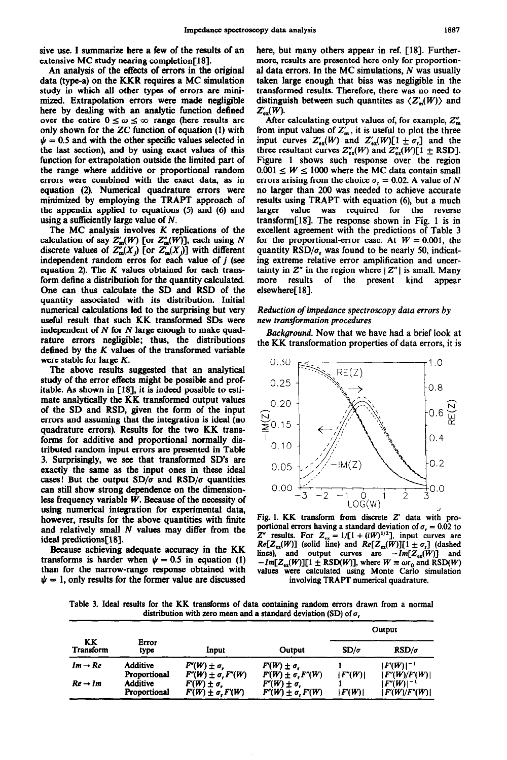sive use. I summarize here a few of the results of an extensive MC study nearing completion[18].

An analysis of the effects of errors in the original data (type-a) on the KKR requires a MC simulation study in which all other types of errors are minimixed. Extrapolation errors were made negligible here by dealing with an analytic function defined over the entire  $0 \le \omega \le \infty$  range (here results are only shown for the  $ZC$  function of equation (1) with  $\psi = 0.5$  and with the other specific values selected in the last section), and by using exact values of this function for extrapolation outside the limited part of the range where additive or proportional random errors were combined with the exact data, as in equation (2). Numerical quadrature errors were minimized by employing the TRAPT approach of the appendix applied to equations (5) and (6) and using a sufficiently large value of N.

The MC analysis involves K replications of the calculation of say  $Z'_{m}(W)$  [or  $Z''_{m}(W)$ ], each using N discrete values of  $Z_m^m(X_j)$  [or  $Z'_m(X_j)$ ] with different independent random erros for each value of  $j$  (see equation 2). The *K values* obtained for each transform define a distribution for the quantity calculated. One can thus calculate the SD and RSD of the quantity associated with its distribution. Initial numerical calculations led to the surprising but very useful result that such KK transformed SDs were independent of  $N$  for  $N$  large enough to make quadrature errors negligible; thus, the distributions defined by the K values of the transformed variable were stable for large K.

The above results suggested that an analytical study of the error effects might be possible and profitable. As shown in [18], it is indeed possible to estimate analytically the RK transformed output values of the SD and RSD, given the form of the input errors and assuming that the integration is ideal (no quadrature errors). Results for the two KK transforms for additive and proportional normally distributed random input errors are presented in Table 3. Surprisingly, we see that transformed SD's are exactly the same as the input ones in these ideal cases! But the output  $SD/\sigma$  and  $RSD/\sigma$  quantities can still show strong dependence on the dimensionless frequency variable  $W$ . Because of the necessity of using numerical integration for experimental data, however, results for the above quantities with finite and relatively small N values may differ from the ideal predictions[lS].

Because achieving adequate accuracy in the KK transforms is harder when  $\psi = 0.5$  in equation (1) than for the narrow-range response obtained with  $\psi = 1$ , only results for the former value are discussed

here, but many others appear in ref. [18]. Furthermore, results are presented here only for proportional data errors. In the MC simulations,  $N$  was usually taken large enough that bias was negligible in the transformed results. Therefore, there was no need to distinguish between such quantites as  $\langle Z'_m(W) \rangle$  and  $Z'_{ex}(W)$ .

After calculating output values of, for example,  $Z_m''$ from input values of  $Z'_m$ , it is useful to plot the three input curves  $Z'_{\text{ex}}(W)$  and  $Z'_{\text{ex}}(W)[1 \pm \sigma_r]$  and the three resultant curves  $Z''_{ex}(W)$  and  $Z''_{ex}(W)[1 \pm RSD]$ . Figure 1 shows such response over the region  $0.001 \leq W \leq 1000$  where the MC data contain small errors arising from the choice  $\sigma_r = 0.02$ . A value of N no larger than 200 was needed to achieve accurate results using TRAPT with equation (6), but a much larger value was required for the reverse transform[18]. The response shown in Fig. 1 is in excellent agreement with the predictions of Table 3 for the proportional-error case. At  $W = 0.001$ , the quantity  $RSD/\sigma$ , was found to be nearly 50, indicating extreme relative error amplification and uncertainty in  $Z''$  in the region where  $|Z''|$  is small. Many more results of the present kind appear elsewhere[18].

## *Reduction of impedance spectroscopy data errors by new transformation procedures*

*Background. Now* that we have had a brief look at the KK transformation properties of data errors, it is



Fig. 1. KK transform from discrete Z' data with proportional errors having a standard deviation of  $\sigma_r = 0.02$  to  $Z''$  results. For  $Z_{ex} = 1/[1 + (iW)^{1/2}]$ , input curves are  $Re[Z_{ex}(W)]$  (solid line) and  $Re[Z_{ex}(W)][1 \pm \sigma_r]$  (dashed lines), and output curves are  $-Im[Z_{ex}(W)]$  and  $-\text{Im}[Z_{\text{ex}}(W)][1 \pm \text{RSD}(W)],$  where  $W \equiv \omega r_0$  and  $\text{RSD}(W)$ values were calculated using Monte Carlo simulation involving TRAPT numerical quadrature.

Table 3. Ideal results for the KK transforms of data containing random errors drawn from a normal distribution with zero mean and a standard deviation (SD) of  $\sigma_r$ 

|                        |                                 |                                                      |                                                      | Output      |                                        |
|------------------------|---------------------------------|------------------------------------------------------|------------------------------------------------------|-------------|----------------------------------------|
| KK<br><b>Transform</b> | Error<br>type                   | Input                                                | Output                                               | $SD/\sigma$ | $RSD/\sigma$                           |
| $Im \rightarrow Re$    | <b>Additive</b><br>Proportional | $F''(W) \pm \sigma$ .<br>$F''(W) \pm \sigma, F''(W)$ | $F(W) \pm \sigma$ .<br>$F(W) \pm \sigma$ , $F''(W)$  | F''(W)      | $ F(W) ^{-1}$<br> F''(W)/F'(W)         |
| $Re \rightarrow Im$    | Additive<br>Proportional        | $F(W) \pm \sigma$<br>$F(W) \pm \sigma$ , $F(W)$      | $F''(W) \pm \sigma$<br>$F''(W) \pm \sigma$ . $F'(W)$ | F(W)        | $F''(W)$ <sup>-1</sup><br> F(W)/F''(W) |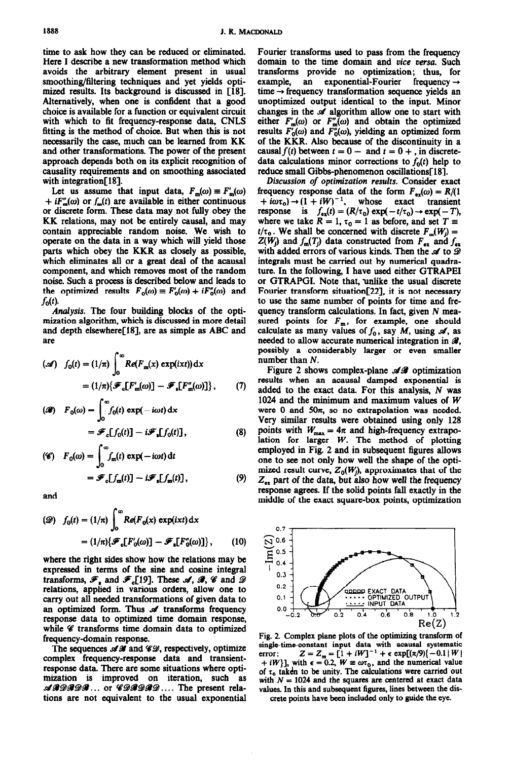time to ask how they can be reduced or eliminated. Here I describe a new transformation method which avoids the arbitrary element present in usual smoothing/filtering techniques and yet yields optimixed results. Its background is discussed in [18]. Alternatively, when one is confident that a good choice is available for a function or equivalent circuit with which to fit frequency-response data, CNLS fitting is the method of choice. But when this is not necessarily the case, much can be learned from KK and other transformations. The power of the present approach depends both on its explicit recognition of causality requirements and on smoothing associated with integration[18].

Let us assume that input data,  $F_m(\omega) \equiv F'_m(\omega)$  $+ iF_m^{\prime\prime}(\omega)$  or  $f_m(t)$  are available in either continuous or discrete form. These data may not fully obey the KK relations, may not be entirely causal, and may contain appreciable random noise. We wish to operate on the data in a way which will yield those parts which obey the KKR as closely as possible, which eliminates all or a great deal of the acausal component, and which removes most of the random noise. Such a process is described below and leads to the optimized results  $F_0(\omega) \equiv F_0'(\omega) + iF_0''(\omega)$  and  $f_0(t)$ .

Analysis. The four building blocks of the optimization algorithm, which is discussed in more detail and depth elsewhere[18], are as simple as ABC and are

$$
\begin{aligned} (\mathscr{A}) \quad f_0(t) &= (1/\pi) \int_0^\infty Re(F_m(x) \, \exp(ixt)) \, \mathrm{d}x \\ &= (1/\pi) \{ \mathscr{F}_c[F'_m(\omega)] - \mathscr{F}_s[F''_m(\omega)] \}, \end{aligned} \tag{7}
$$

$$
\begin{aligned} \textbf{(3)} \quad F_0(\omega) &= \int_0^\infty f_0(t) \, \exp(-i\omega t) \, \mathrm{d}x \\ &= \mathcal{F}_c[f_0(t)] - i\mathcal{F}_s[f_0(t)], \end{aligned} \tag{8}
$$

$$
\begin{aligned} \text{(}\mathscr{C}\text{)} \quad F_0(\omega) &= \int_0^\infty f_m(t) \, \exp(-i\omega t) \, \mathrm{d}t \\ &= \mathscr{F}_0[f_m(t)] - i\mathscr{F}_s[f_m(t)], \end{aligned} \tag{9}
$$

and

$$
\begin{aligned} \text{(2)} \quad f_0(t) &= (1/\pi) \int_0^\infty Re(F_0(x) \exp(ixt) \, \mathrm{d}x \\ &= (1/\pi) \{ \mathcal{F}_e[F_0(\omega)] - \mathcal{F}_s[F_0(\omega)] \}, \end{aligned} \tag{10}
$$

where the right sides show how the relations may be expressed in terms of the sine and cosine integral transforms,  $\mathcal{F}_1$  and  $\mathcal{F}_6$ [19]. These  $\mathcal{A}, \mathcal{B}, \mathcal{C}$  and  $\mathcal{D}$ relations, applied in various orders, allow one to carry out all needed transformations of given data to an optimized form. Thus of transforms frequency response data to optimized time domain response, while  $\mathscr C$  transforms time domain data to optimized frequency-domain response.

The sequences  $\mathcal{A}\mathcal{B}$  and  $\mathcal{C}\mathcal{D}$ , respectively, optimize complex frequency-response data and transientresponse data. There are some situations where optimization is improved on iteration, such as  $\mathcal{A}\mathcal{A}\mathcal{D}\mathcal{A}\mathcal{D}\mathcal{A}\dots$  or  $\mathcal{C}\mathcal{D}\mathcal{A}\mathcal{D}\mathcal{A}\mathcal{D}\dots$  The present relations are not equivalent to the usual exponential Fourier transforms used to pass from the frequency domain to the time domain and *vice versa.* Such transforms provide no optimization; thus, for example, an exponential-Fourier frequency  $\rightarrow$  $time \rightarrow frequency$  transformation sequence yields an unoptimized output identical to the input. Minor changes in the  $\mathcal A$  algorithm allow one to start with either  $F_{\rm m}'(\omega)$  or  $F_{\rm m}''(\omega)$  and obtain the optimized results  $F_0(\omega)$  and  $F_0'(\omega)$ , yielding an optimized form of the KKR. Also because of the discontinuity in a causal  $f(t)$  between  $t = 0 - \text{ and } t = 0 + \text{, in discrete-}$ data calculations minor corrections to  $f_0(t)$  help to reduce small Gibbs-phenomenon oscillations[18].

*Discussion of optimization results.* Consider exact frequency response data of the form  $F_{ex}(\omega) = R/(1$  $+ i\omega\tau_0$   $\rightarrow$   $(1 + iW)^{-1}$ , whose exact transient response is  $f_{ex}(t) = (R/\tau_0) \exp(-t/\tau_0) \rightarrow \exp(-T)$ , where we take  $R = 1$ ,  $\tau_0 = 1$  as before, and set  $T =$  $t/\tau_0$ . We shall be concerned with discrete  $F_m(W_j) =$  $Z(W_j)$  and  $f_m(T_j)$  data constructed from  $F_{ex}$  and  $f_{ex}$ with added errors of various kinds. Then the  $\mathcal A$  to  $\mathcal D$ integrals must be carried out by numerical quadrature. In the following, I have used either GTRAPEI or GTRAPGI. Note that, unlike the usual discrete Fourier transform situation[22], it is not necessary to use the same number of points for time and frequency transform calculations. In fact, given  $N$  measured points for  $F_m$ , for example, one should calculate as many values of  $f_0$ , say M, using  $\mathcal A$ , as needed to allow accurate numerical integration in  $\mathcal{B}$ , possibly a considerably larger or even smaller number than N.

Figure 2 shows complex-plane  $\mathscr{A}\mathscr{B}$  optimization results when an acausal damped exponential is added to the exact data. For this analysis, N was 1024 and the minimum and maximum values of W were  $0$  and  $50\pi$ , so no extrapolation was needed. Very similar results were obtained using only 128 points with  $W_{\text{max}} = 4\pi$  and high-frequency extrapolation for larger W. The method of plotting employed in Fig. 2 and in subsequent figures allows one to see not only how well the shape of the optimized result curve,  $Z_0(W_i)$ , approximates that of the  $Z_{ex}$  part of the data, but also how well the frequency response agrees. If the solid points fall exactly in the middle of the exact square-box points, optimization



Fig. 2. Complex plane plots of the optimizing transform of single-time-constant input data with acausal systematic **error:**  $Z = Z_m = [1 + iW]^{-1} + \epsilon \exp[(\pi - \epsilon)E_{m} + \epsilon)]$  $+iW$ ], with  $\epsilon = 0.2$ ,  $W = \omega \tau_0$ , and the numerical value of  $\tau_0$  taken to be unity. The calculations were carried out with  $N = 1024$  and the squares are centered at exact data **values. In this and subsequent figures, lines between the discrete points have been included only to guide the eye.**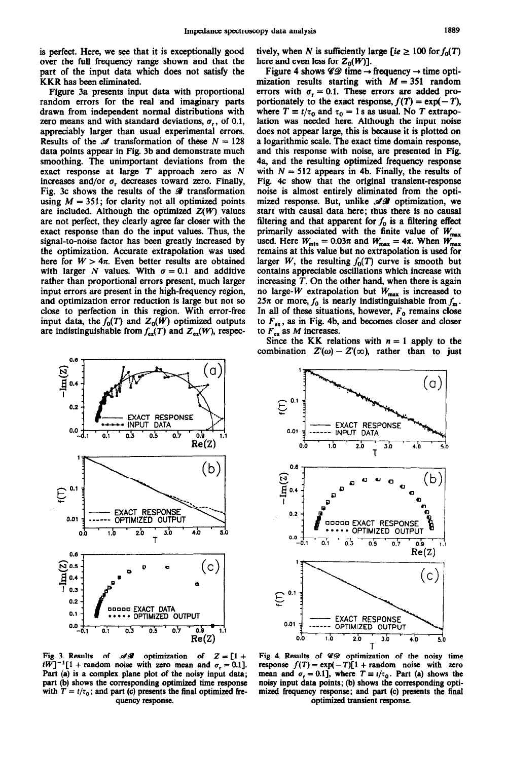is perfect. Here, we see that it is exceptionally good over the full frequency range shown and that the part of the input data which does not satisfy the KKR has been eliminated.

Figure 3a presents input data with proportional random errors for the real and imaginary parts drawn from independent normal distributions with zero means and with standard deviations,  $\sigma_r$ , of 0.1, appreciably larger than usual experimental errors. Results of the  $\mathcal A$  transformation of these  $N = 128$ data points appear in Fig. 3b and demonstrate much smoothing. The unimportant deviations from the exact response at large *T* approach zero as N increases and/or  $\sigma_r$  decreases toward zero. Finally, Fig. 3c shows the results of the  $\mathcal X$  transformation using  $M = 351$ ; for clarity not all optimized points are included. Although the optimized  $Z(W)$  values are not perfect, they clearly agree far closer with the exact response than do the input values. Thus, the signal-to-noise factor has been greatly increased by the optimization. Accurate extrapolation was used here for  $W > 4\pi$ . Even better results are obtained with larger N values. With  $\sigma = 0.1$  and additive rather than proportional errors present, much larger input errors are present in the high-frequency region, and optimization error reduction is large but not so close to perfection in this region. With error-free input data, the  $f_0(T)$  and  $Z_0(W)$  optimized outputs are indistinguishable from  $f_{ex}(T)$  and  $Z_{ex}(W)$ , respec-



Fig. 3. Results of  $\mathscr{A}\mathscr{A}$  optimization of  $Z = [1 + \text{Fig. 4.}$  Results of  $\mathscr{C}\mathscr{D}$  optimization of the noisy time  $iW$ ]<sup>-1</sup>[1 + random noise with zero mean and  $\sigma_r = 0.1$ ]. response  $f(T) = \exp(-T)[1 + \text{random noise with zero}]$  $i\tilde{W}^{-1}[1 + \text{random noise with zero mean and } \sigma_r = 0.1]$ . response  $f(T) = \exp(-T)[1 + \text{random noise with zero}$ <br>Part (a) is a complex plane plot of the noisy input data; mean and  $\sigma_r = 0.1$ , where  $T = t/\tau_0$ . Part (a) shows the part (b) shows the corresponding optimized time response with  $T = t/\tau_0$ ; and part (c) presents the final optimized fre- mized frequency response; and part (c) presents the final

tively, when N is sufficiently large [ie  $\geq 100$  for  $f_0(T)$ here and even less for  $Z_0(W)$ ].

Figure 4 shows  $\mathscr{CD}$  time  $\rightarrow$  frequency  $\rightarrow$  time optimization results starting with  $M = 351$  random errors with  $\sigma_r = 0.1$ . These errors are added proportionately to the exact response,  $f(T) = \exp(-T)$ , where  $T \equiv t/\tau_0$  and  $\tau_0 = 1$  s as usual. No *T* extrapolation was needed here. Although the input noise does not appear large, this is because it is plotted on a logarithmic scale. The exact time domain response, and this response with noise, are presented in Fig. 4a, and the resulting optimized frequency response with  $N = 512$  appears in 4b. Finally, the results of Fig. 4c show that the original transient-response noise is almost entirely eliminated from the optimized response. But, unlike  $\mathscr{A}\mathscr{B}$  optimization, we start with causal data here; thus there is no causal filtering and that apparent for  $f_0$  is a filtering effect primarily associated with the finite value of  $W_{\text{max}}$ used. Here  $W_{\text{min}} = 0.03\pi$  and  $W_{\text{max}} = 4\pi$ . When  $W_{\text{max}}$ remains at this value but no extrapolation is used for larger *W*, the resulting  $f_0(T)$  curve is smooth but contains appreciable oscillations which increase with increasing *T.* On the other hand, when there is again no large-W extrapolation but  $W_{\text{max}}$  is increased to 25 $\pi$  or more,  $f_0$  is nearly indistinguishable from  $f_m$ . In all of these situations, however,  $F<sub>0</sub>$  remains close to  $F_{ex}$ , as in Fig. 4b, and becomes closer and closer to  $F_{ex}$  as M increases.

Since the KK relations with  $n = 1$  apply to the combination  $Z'(\omega) - Z'(\infty)$ , rather than to just



mean and  $\sigma_r = 0.1$ ], where  $T \equiv t/\tau_0$ . Part (a) shows the noisy input data points; (b) shows the corresponding optiquency response. **optimized transient response.**